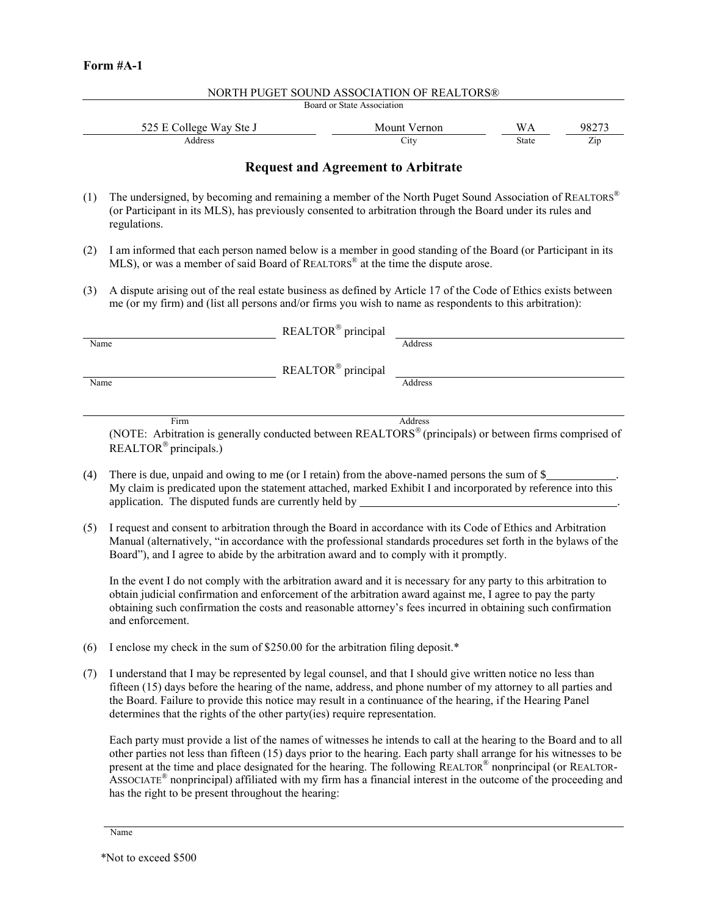| Board or State Association |              |       |       |  |  |
|----------------------------|--------------|-------|-------|--|--|
| 525 E College Way Ste J    | Mount Vernon | WА    | 98275 |  |  |
| Address                    | City         | State | Zip   |  |  |
|                            |              |       |       |  |  |

NORTH PUGET SOUND ASSOCIATION OF REALTORS®

## **Request and Agreement to Arbitrate**

- (1) The undersigned, by becoming and remaining a member of the North Puget Sound Association of  $REALTORS<sup>®</sup>$ (or Participant in its MLS), has previously consented to arbitration through the Board under its rules and regulations.
- (2) I am informed that each person named below is a member in good standing of the Board (or Participant in its MLS), or was a member of said Board of REALTORS® at the time the dispute arose.
- (3) A dispute arising out of the real estate business as defined by Article 17 of the Code of Ethics exists between me (or my firm) and (list all persons and/or firms you wish to name as respondents to this arbitration):

|      | REALTOR® principal |         |
|------|--------------------|---------|
| Name |                    | Address |
|      | REALTOR® principal |         |
| Name |                    | Address |
|      |                    |         |
| Firm |                    | Address |

(NOTE: Arbitration is generally conducted between REALTORS (principals) or between firms comprised of REALTOR<sup>®</sup> principals.)

- (4) There is due, unpaid and owing to me (or I retain) from the above-named persons the sum of \$ . My claim is predicated upon the statement attached, marked Exhibit I and incorporated by reference into this application. The disputed funds are currently held by .
- (5) I request and consent to arbitration through the Board in accordance with its Code of Ethics and Arbitration Manual (alternatively, "in accordance with the professional standards procedures set forth in the bylaws of the Board"), and I agree to abide by the arbitration award and to comply with it promptly.

In the event I do not comply with the arbitration award and it is necessary for any party to this arbitration to obtain judicial confirmation and enforcement of the arbitration award against me, I agree to pay the party obtaining such confirmation the costs and reasonable attorney's fees incurred in obtaining such confirmation and enforcement.

- (6) I enclose my check in the sum of \$250.00 for the arbitration filing deposit.\*
- (7) I understand that I may be represented by legal counsel, and that I should give written notice no less than fifteen (15) days before the hearing of the name, address, and phone number of my attorney to all parties and the Board. Failure to provide this notice may result in a continuance of the hearing, if the Hearing Panel determines that the rights of the other party(ies) require representation.

Each party must provide a list of the names of witnesses he intends to call at the hearing to the Board and to all other parties not less than fifteen (15) days prior to the hearing. Each party shall arrange for his witnesses to be present at the time and place designated for the hearing. The following REALTOR® nonprincipal (or REALTOR-ASSOCIATE® nonprincipal) affiliated with my firm has a financial interest in the outcome of the proceeding and has the right to be present throughout the hearing:

Name